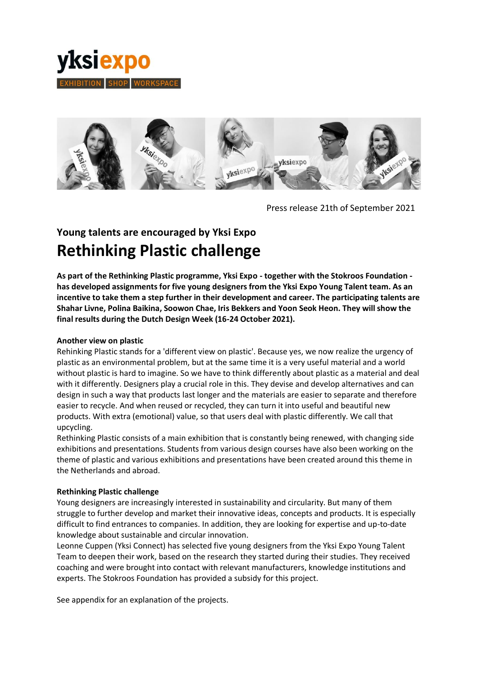



Press release 21th of September 2021

## **Young talents are encouraged by Yksi Expo Rethinking Plastic challenge**

**As part of the Rethinking Plastic programme, Yksi Expo - together with the Stokroos Foundation has developed assignments for five young designers from the Yksi Expo Young Talent team. As an incentive to take them a step further in their development and career. The participating talents are Shahar Livne, Polina Baikina, Soowon Chae, Iris Bekkers and Yoon Seok Heon. They will show the final results during the Dutch Design Week (16-24 October 2021).**

## **Another view on plastic**

Rehinking Plastic stands for a 'different view on plastic'. Because yes, we now realize the urgency of plastic as an environmental problem, but at the same time it is a very useful material and a world without plastic is hard to imagine. So we have to think differently about plastic as a material and deal with it differently. Designers play a crucial role in this. They devise and develop alternatives and can design in such a way that products last longer and the materials are easier to separate and therefore easier to recycle. And when reused or recycled, they can turn it into useful and beautiful new products. With extra (emotional) value, so that users deal with plastic differently. We call that upcycling.

Rethinking Plastic consists of a main exhibition that is constantly being renewed, with changing side exhibitions and presentations. Students from various design courses have also been working on the theme of plastic and various exhibitions and presentations have been created around this theme in the Netherlands and abroad.

## **Rethinking Plastic challenge**

Young designers are increasingly interested in sustainability and circularity. But many of them struggle to further develop and market their innovative ideas, concepts and products. It is especially difficult to find entrances to companies. In addition, they are looking for expertise and up-to-date knowledge about sustainable and circular innovation.

Leonne Cuppen (Yksi Connect) has selected five young designers from the Yksi Expo Young Talent Team to deepen their work, based on the research they started during their studies. They received coaching and were brought into contact with relevant manufacturers, knowledge institutions and experts. The Stokroos Foundation has provided a subsidy for this project.

See appendix for an explanation of the projects.